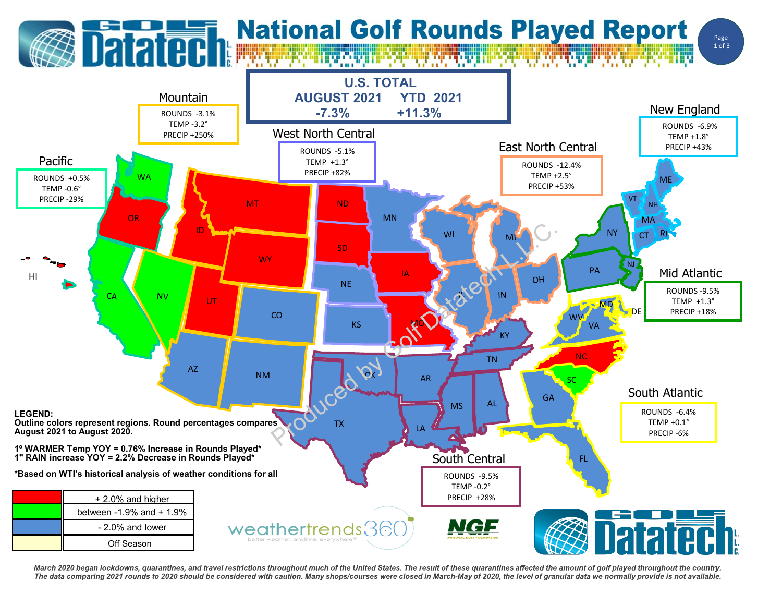## **Datated: National Golf Rounds Played Report**

Page 1 of 3



March 2020 began lockdowns, quarantines, and travel restrictions throughout much of the United States. The result of these quarantines affected the amount of golf played throughout the country. The data comparing 2021 rounds to 2020 should be considered with caution. Many shops/courses were closed in March-May of 2020, the level of granular data we normally provide is not available.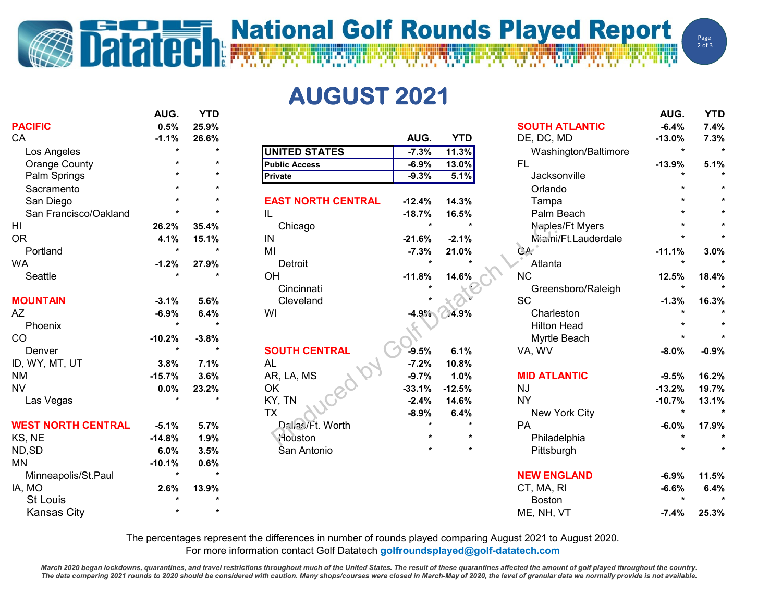## **Datated National Golf Rounds Played Report**

**AUGUST 2021**

|                           | AUG.     | <b>YTD</b> |                           |          |                  |                       | AUG.                 | <b>YTD</b> |
|---------------------------|----------|------------|---------------------------|----------|------------------|-----------------------|----------------------|------------|
| <b>PACIFIC</b>            | 0.5%     | 25.9%      |                           |          |                  | <b>SOUTH ATLANTIC</b> | $-6.4%$              | 7.4%       |
| CA                        | $-1.1%$  | 26.6%      |                           | AUG.     | <b>YTD</b>       | DE, DC, MD            | $-13.0%$             | 7.3%       |
| Los Angeles               | $\star$  |            | <b>UNITED STATES</b>      | $-7.3%$  | 11.3%            | Washington/Baltimore  | $\star$              |            |
| <b>Orange County</b>      |          |            | <b>Public Access</b>      | $-6.9%$  | 13.0%            | <b>FL</b>             | $-13.9%$             | 5.1%       |
| Palm Springs              |          |            | Private                   | $-9.3%$  | 5.1%             | Jacksonville          |                      | $\star$    |
| Sacramento                |          |            |                           |          |                  | Orlando               |                      |            |
| San Diego                 |          |            | <b>EAST NORTH CENTRAL</b> | $-12.4%$ | 14.3%            | Tampa                 |                      |            |
| San Francisco/Oakland     |          |            | IL                        | $-18.7%$ | 16.5%            | Palm Beach            |                      |            |
| HI                        | 26.2%    | 35.4%      | Chicago                   | $\star$  | $\star$          | Naples/Ft Myers       |                      |            |
| <b>OR</b>                 | 4.1%     | 15.1%      | IN                        | $-21.6%$ | $-2.1%$          | Miami/Ft.Lauderdale   |                      |            |
| Portland                  | $\star$  |            | MI                        | $-7.3%$  | 21.0%            | GA                    | $-11.1%$             | 3.0%       |
| <b>WA</b>                 | $-1.2%$  | 27.9%      | Detroit                   |          |                  | Atlanta               | $\star$              |            |
| Seattle                   |          |            | OH                        | $-11.8%$ | 14.6%            | <b>NC</b>             | 12.5%                | 18.4%      |
|                           |          |            | Cincinnati                |          |                  | Greensboro/Raleigh    |                      |            |
| <b>MOUNTAIN</b>           | $-3.1%$  | 5.6%       | Cleveland                 |          |                  | SC                    | $-1.3%$              | 16.3%      |
| AΖ                        | $-6.9%$  | 6.4%       | WI                        |          | $-4.9\%$ $4.9\%$ | Charleston            |                      |            |
| Phoenix                   | $\star$  |            |                           |          |                  | <b>Hilton Head</b>    |                      |            |
| CO                        | $-10.2%$ | $-3.8%$    |                           |          |                  | Myrtle Beach          |                      |            |
| Denver                    | $\star$  | $\star$    | <b>SOUTH CENTRAL</b>      | $-9.5%$  | 6.1%             | VA, WV                | $-8.0%$              | $-0.9%$    |
| ID, WY, MT, UT            | 3.8%     | 7.1%       | <b>AL</b>                 | $-7.2%$  | 10.8%            |                       |                      |            |
| NM                        | $-15.7%$ | 3.6%       | AR, LA, MS                | $-9.7%$  | 1.0%             | <b>MID ATLANTIC</b>   | $-9.5%$              | 16.2%      |
| <b>NV</b>                 | 0.0%     | 23.2%      | OK                        | $-33.1%$ | $-12.5%$         | <b>NJ</b>             | $-13.2%$             | 19.7%      |
| Las Vegas                 | $\star$  | $\star$    | KY, TN                    | $-2.4%$  | 14.6%            | <b>NY</b>             | $-10.7%$             | 13.1%      |
|                           |          |            | <b>TX</b>                 | $-8.9%$  | 6.4%             | New York City         | $\ddot{\phantom{0}}$ |            |
| <b>WEST NORTH CENTRAL</b> | $-5.1%$  | 5.7%       | Dallas/Ft. Worth          |          | $\star$          | PA                    | $-6.0%$              | 17.9%      |
| KS, NE                    | $-14.8%$ | 1.9%       | <b>Houston</b>            |          | $\star$          | Philadelphia          |                      |            |
| ND,SD                     | 6.0%     | 3.5%       | San Antonio               |          | $\star$          | Pittsburgh            |                      |            |
| MN                        | $-10.1%$ | 0.6%       |                           |          |                  |                       |                      |            |
| Minneapolis/St.Paul       | $\star$  |            |                           |          |                  | <b>NEW ENGLAND</b>    | $-6.9%$              | 11.5%      |
| IA, MO                    | 2.6%     | 13.9%      |                           |          |                  | CT, MA, RI            | $-6.6%$              | 6.4%       |
| <b>St Louis</b>           |          |            |                           |          |                  | <b>Boston</b>         |                      |            |
| <b>Kansas City</b>        |          |            |                           |          |                  | ME, NH, VT            | $-7.4%$              | 25.3%      |

The percentages represent the differences in number of rounds played comparing August 2021 to August 2020. For more information contact Golf Datatech **golfroundsplayed@golf-datatech.com** 

March 2020 began lockdowns, quarantines, and travel restrictions throughout much of the United States. The result of these quarantines affected the amount of golf played throughout the country. The data comparing 2021 rounds to 2020 should be considered with caution. Many shops/courses were closed in March-May of 2020, the level of granular data we normally provide is not available.